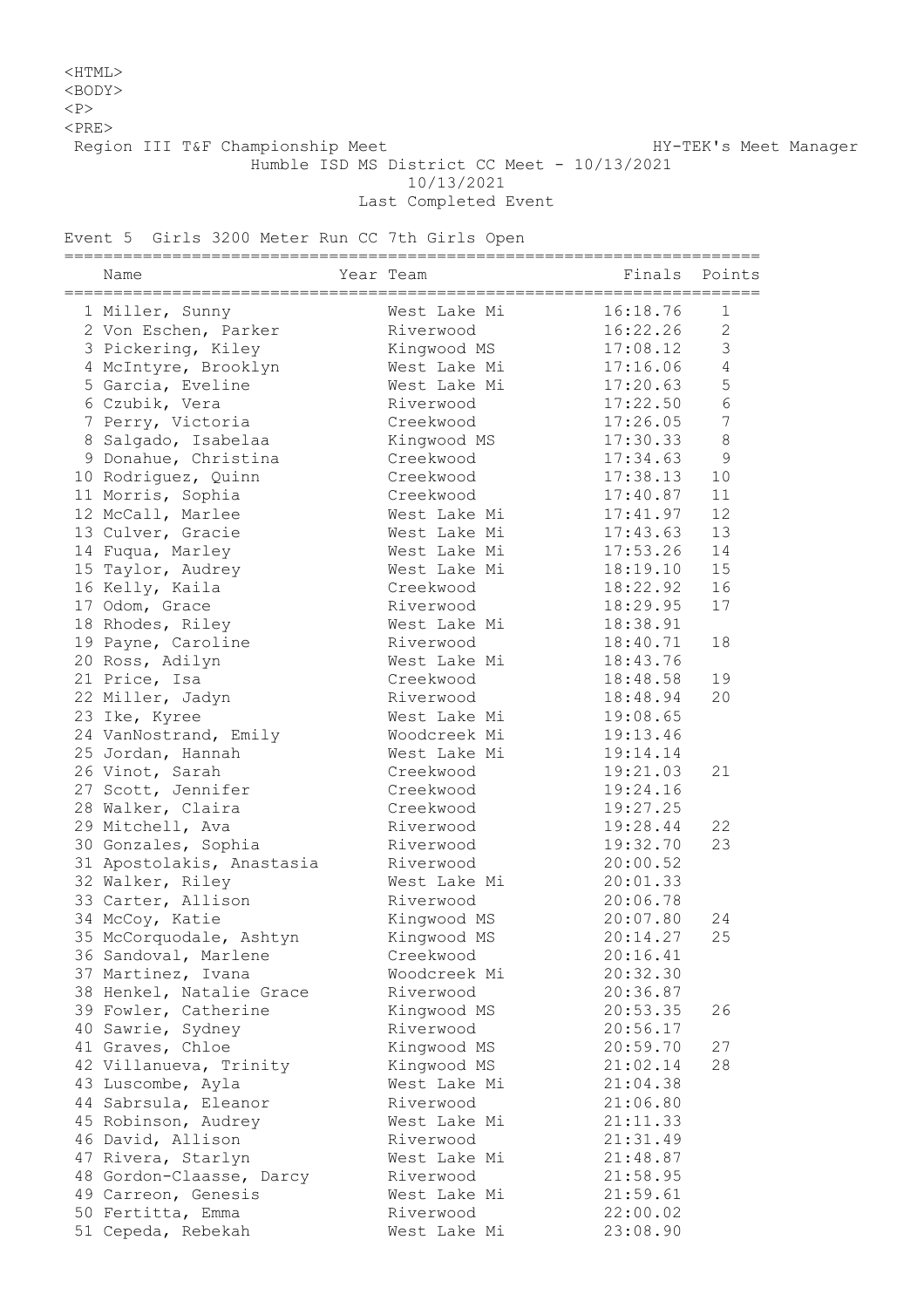## <HTML>

<BODY>

 $<sub>P</sub>$ 

 $<$ PRE $>$ 

Region III T&F Championship Meet Nanager HY-TEK's Meet Manager

Humble ISD MS District CC Meet - 10/13/2021

10/13/2021

Last Completed Event

Event 5 Girls 3200 Meter Run CC 7th Girls Open

| =========<br>Name         | Year Team    | =============================<br>Finals | Points         |
|---------------------------|--------------|-----------------------------------------|----------------|
| 1 Miller, Sunny           | West Lake Mi | 16:18.76                                | 1              |
| 2 Von Eschen, Parker      | Riverwood    | 16:22.26                                | $\mathbf{2}$   |
| 3 Pickering, Kiley        | Kingwood MS  | 17:08.12                                | 3              |
| 4 McIntyre, Brooklyn      | West Lake Mi | 17:16.06                                | $\overline{4}$ |
| 5 Garcia, Eveline         | West Lake Mi | 17:20.63                                | 5              |
| 6 Czubik, Vera            | Riverwood    | 17:22.50                                | 6              |
| 7 Perry, Victoria         | Creekwood    | 17:26.05                                | 7              |
| 8 Salgado, Isabelaa       | Kingwood MS  | 17:30.33                                | 8              |
| 9 Donahue, Christina      | Creekwood    | 17:34.63                                | 9              |
| 10 Rodriguez, Quinn       | Creekwood    | 17:38.13                                | 10             |
| 11 Morris, Sophia         | Creekwood    | 17:40.87                                | 11             |
| 12 McCall, Marlee         | West Lake Mi | 17:41.97                                | 12             |
| 13 Culver, Gracie         | West Lake Mi | 17:43.63                                | 13             |
| 14 Fuqua, Marley          | West Lake Mi | 17:53.26                                | 14             |
| 15 Taylor, Audrey         | West Lake Mi | 18:19.10                                | 15             |
| 16 Kelly, Kaila           | Creekwood    | 18:22.92                                | 16             |
| 17 Odom, Grace            | Riverwood    | 18:29.95                                | 17             |
| 18 Rhodes, Riley          | West Lake Mi | 18:38.91                                |                |
| 19 Payne, Caroline        | Riverwood    | 18:40.71                                | 18             |
| 20 Ross, Adilyn           | West Lake Mi | 18:43.76                                |                |
| 21 Price, Isa             | Creekwood    | 18:48.58                                | 19             |
| 22 Miller, Jadyn          | Riverwood    | 18:48.94                                | 20             |
| 23 Ike, Kyree             | West Lake Mi | 19:08.65                                |                |
| 24 VanNostrand, Emily     | Woodcreek Mi | 19:13.46                                |                |
| 25 Jordan, Hannah         | West Lake Mi | 19:14.14                                |                |
| 26 Vinot, Sarah           | Creekwood    | 19:21.03                                | 21             |
| 27 Scott, Jennifer        | Creekwood    | 19:24.16                                |                |
| 28 Walker, Claira         | Creekwood    | 19:27.25                                |                |
| 29 Mitchell, Ava          | Riverwood    | 19:28.44                                | 22             |
| 30 Gonzales, Sophia       | Riverwood    | 19:32.70                                | 23             |
| 31 Apostolakis, Anastasia | Riverwood    | 20:00.52                                |                |
| 32 Walker, Riley          | West Lake Mi | 20:01.33                                |                |
| 33 Carter, Allison        | Riverwood    | 20:06.78                                |                |
| 34 McCoy, Katie           | Kingwood MS  | 20:07.80                                | 24             |
| 35 McCorquodale, Ashtyn   | Kingwood MS  | 20:14.27                                | 25             |
| 36 Sandoval, Marlene      | Creekwood    | 20:16.41                                |                |
| 37 Martinez, Ivana        | Woodcreek Mi | 20:32.30                                |                |
| 38 Henkel, Natalie Grace  | Riverwood    | 20:36.87                                |                |
| 39 Fowler, Catherine      | Kingwood MS  | 20:53.35                                | 26             |
| 40 Sawrie, Sydney         | Riverwood    | 20:56.17                                |                |
| 41 Graves, Chloe          | Kingwood MS  | 20:59.70                                | 27             |
| 42 Villanueva, Trinity    | Kingwood MS  | 21:02.14                                | 28             |
| 43 Luscombe, Ayla         | West Lake Mi | 21:04.38                                |                |
| 44 Sabrsula, Eleanor      | Riverwood    | 21:06.80                                |                |
| 45 Robinson, Audrey       | West Lake Mi | 21:11.33                                |                |
| 46 David, Allison         | Riverwood    | 21:31.49                                |                |
| 47 Rivera, Starlyn        | West Lake Mi | 21:48.87                                |                |
| 48 Gordon-Claasse, Darcy  | Riverwood    | 21:58.95                                |                |
| 49 Carreon, Genesis       | West Lake Mi | 21:59.61                                |                |
| 50 Fertitta, Emma         | Riverwood    | 22:00.02                                |                |
| 51 Cepeda, Rebekah        | West Lake Mi | 23:08.90                                |                |